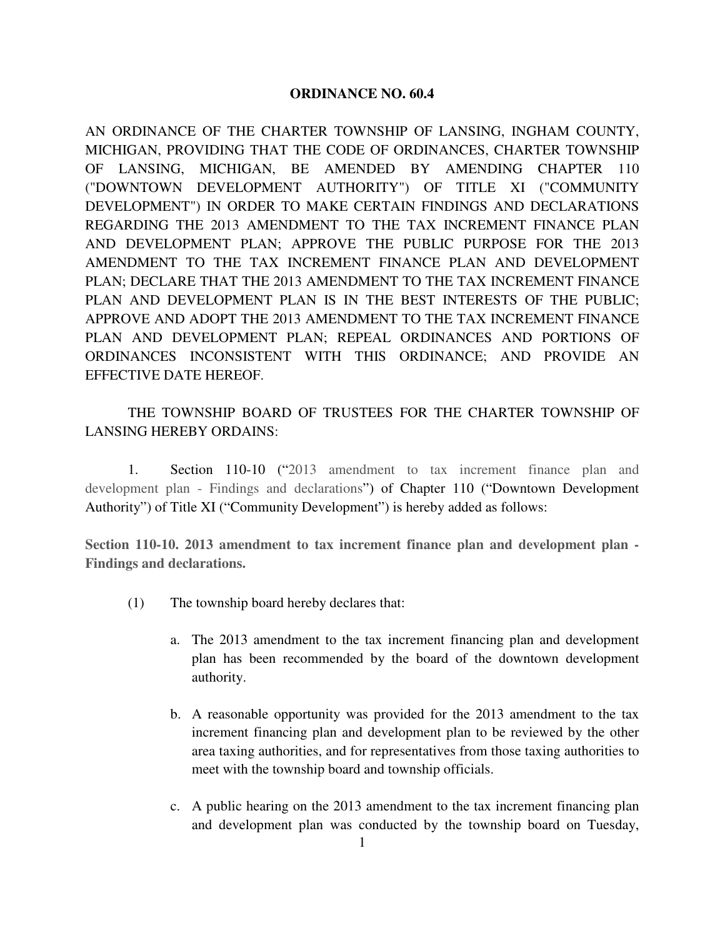## **ORDINANCE NO. 60.4**

AN ORDINANCE OF THE CHARTER TOWNSHIP OF LANSING, INGHAM COUNTY, MICHIGAN, PROVIDING THAT THE CODE OF ORDINANCES, CHARTER TOWNSHIP OF LANSING, MICHIGAN, BE AMENDED BY AMENDING CHAPTER 110 ("DOWNTOWN DEVELOPMENT AUTHORITY") OF TITLE XI ("COMMUNITY DEVELOPMENT") IN ORDER TO MAKE CERTAIN FINDINGS AND DECLARATIONS REGARDING THE 2013 AMENDMENT TO THE TAX INCREMENT FINANCE PLAN AND DEVELOPMENT PLAN; APPROVE THE PUBLIC PURPOSE FOR THE 2013 AMENDMENT TO THE TAX INCREMENT FINANCE PLAN AND DEVELOPMENT PLAN; DECLARE THAT THE 2013 AMENDMENT TO THE TAX INCREMENT FINANCE PLAN AND DEVELOPMENT PLAN IS IN THE BEST INTERESTS OF THE PUBLIC; APPROVE AND ADOPT THE 2013 AMENDMENT TO THE TAX INCREMENT FINANCE PLAN AND DEVELOPMENT PLAN; REPEAL ORDINANCES AND PORTIONS OF ORDINANCES INCONSISTENT WITH THIS ORDINANCE; AND PROVIDE AN EFFECTIVE DATE HEREOF.

 THE TOWNSHIP BOARD OF TRUSTEES FOR THE CHARTER TOWNSHIP OF LANSING HEREBY ORDAINS:

 1. Section 110-10 ("2013 amendment to tax increment finance plan and development plan - Findings and declarations") of Chapter 110 ("Downtown Development Authority") of Title XI ("Community Development") is hereby added as follows:

**Section 110-10. 2013 amendment to tax increment finance plan and development plan - Findings and declarations.** 

- (1) The township board hereby declares that:
	- a. The 2013 amendment to the tax increment financing plan and development plan has been recommended by the board of the downtown development authority.
	- b. A reasonable opportunity was provided for the 2013 amendment to the tax increment financing plan and development plan to be reviewed by the other area taxing authorities, and for representatives from those taxing authorities to meet with the township board and township officials.
	- c. A public hearing on the 2013 amendment to the tax increment financing plan and development plan was conducted by the township board on Tuesday,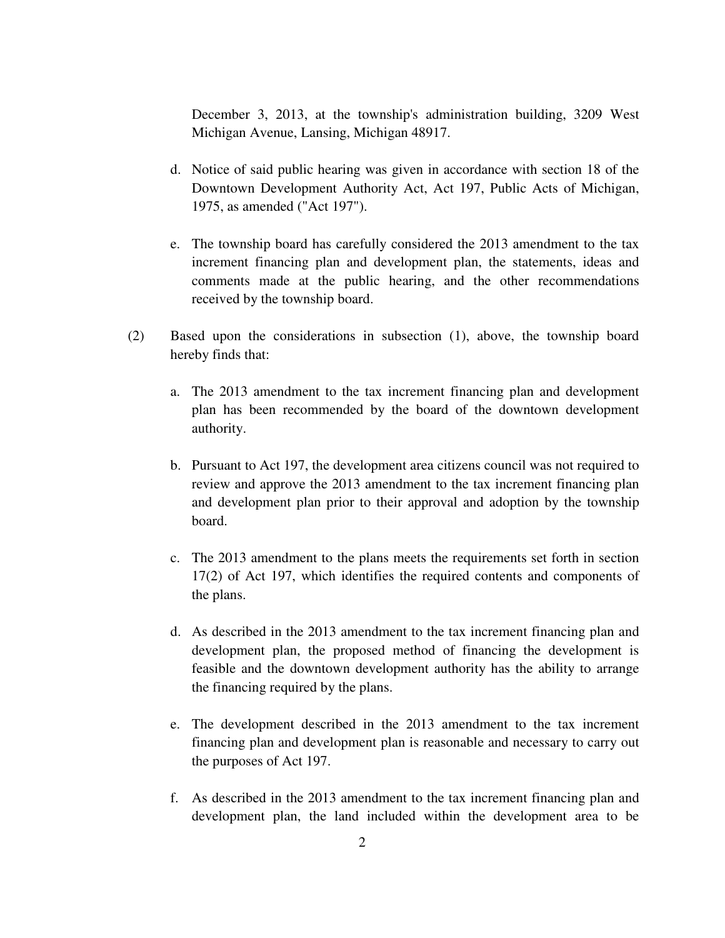December 3, 2013, at the township's administration building, 3209 West Michigan Avenue, Lansing, Michigan 48917.

- d. Notice of said public hearing was given in accordance with section 18 of the Downtown Development Authority Act, Act 197, Public Acts of Michigan, 1975, as amended ("Act 197").
- e. The township board has carefully considered the 2013 amendment to the tax increment financing plan and development plan, the statements, ideas and comments made at the public hearing, and the other recommendations received by the township board.
- (2) Based upon the considerations in subsection (1), above, the township board hereby finds that:
	- a. The 2013 amendment to the tax increment financing plan and development plan has been recommended by the board of the downtown development authority.
	- b. Pursuant to Act 197, the development area citizens council was not required to review and approve the 2013 amendment to the tax increment financing plan and development plan prior to their approval and adoption by the township board.
	- c. The 2013 amendment to the plans meets the requirements set forth in section 17(2) of Act 197, which identifies the required contents and components of the plans.
	- d. As described in the 2013 amendment to the tax increment financing plan and development plan, the proposed method of financing the development is feasible and the downtown development authority has the ability to arrange the financing required by the plans.
	- e. The development described in the 2013 amendment to the tax increment financing plan and development plan is reasonable and necessary to carry out the purposes of Act 197.
	- f. As described in the 2013 amendment to the tax increment financing plan and development plan, the land included within the development area to be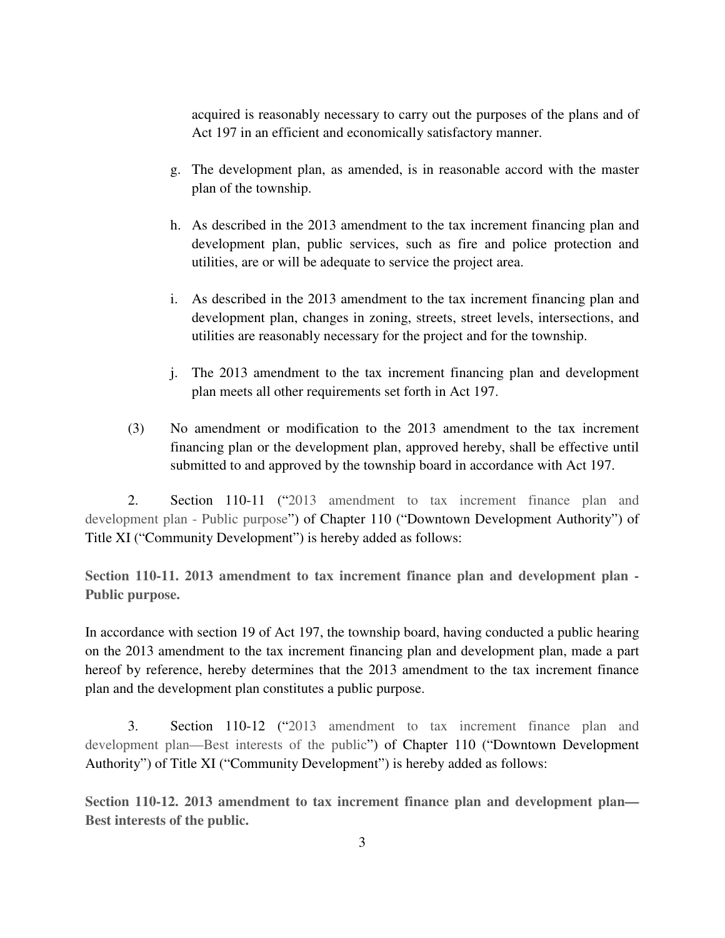acquired is reasonably necessary to carry out the purposes of the plans and of Act 197 in an efficient and economically satisfactory manner.

- g. The development plan, as amended, is in reasonable accord with the master plan of the township.
- h. As described in the 2013 amendment to the tax increment financing plan and development plan, public services, such as fire and police protection and utilities, are or will be adequate to service the project area.
- i. As described in the 2013 amendment to the tax increment financing plan and development plan, changes in zoning, streets, street levels, intersections, and utilities are reasonably necessary for the project and for the township.
- j. The 2013 amendment to the tax increment financing plan and development plan meets all other requirements set forth in Act 197.
- (3) No amendment or modification to the 2013 amendment to the tax increment financing plan or the development plan, approved hereby, shall be effective until submitted to and approved by the township board in accordance with Act 197.

 2. Section 110-11 ("2013 amendment to tax increment finance plan and development plan - Public purpose") of Chapter 110 ("Downtown Development Authority") of Title XI ("Community Development") is hereby added as follows:

**Section 110-11. 2013 amendment to tax increment finance plan and development plan - Public purpose.**

In accordance with section 19 of Act 197, the township board, having conducted a public hearing on the 2013 amendment to the tax increment financing plan and development plan, made a part hereof by reference, hereby determines that the 2013 amendment to the tax increment finance plan and the development plan constitutes a public purpose.

 3. Section 110-12 ("2013 amendment to tax increment finance plan and development plan—Best interests of the public") of Chapter 110 ("Downtown Development Authority") of Title XI ("Community Development") is hereby added as follows:

**Section 110-12. 2013 amendment to tax increment finance plan and development plan— Best interests of the public.**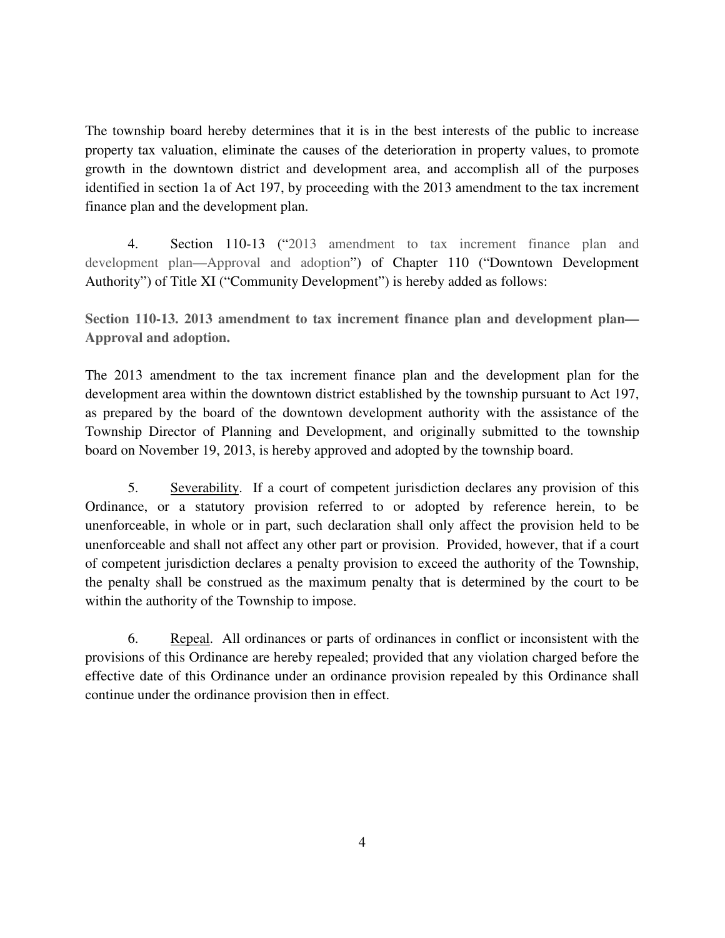The township board hereby determines that it is in the best interests of the public to increase property tax valuation, eliminate the causes of the deterioration in property values, to promote growth in the downtown district and development area, and accomplish all of the purposes identified in section 1a of Act 197, by proceeding with the 2013 amendment to the tax increment finance plan and the development plan.

 4. Section 110-13 ("2013 amendment to tax increment finance plan and development plan—Approval and adoption") of Chapter 110 ("Downtown Development Authority") of Title XI ("Community Development") is hereby added as follows:

**Section 110-13. 2013 amendment to tax increment finance plan and development plan— Approval and adoption.** 

The 2013 amendment to the tax increment finance plan and the development plan for the development area within the downtown district established by the township pursuant to Act 197, as prepared by the board of the downtown development authority with the assistance of the Township Director of Planning and Development, and originally submitted to the township board on November 19, 2013, is hereby approved and adopted by the township board.

 5. Severability. If a court of competent jurisdiction declares any provision of this Ordinance, or a statutory provision referred to or adopted by reference herein, to be unenforceable, in whole or in part, such declaration shall only affect the provision held to be unenforceable and shall not affect any other part or provision. Provided, however, that if a court of competent jurisdiction declares a penalty provision to exceed the authority of the Township, the penalty shall be construed as the maximum penalty that is determined by the court to be within the authority of the Township to impose.

 6. Repeal. All ordinances or parts of ordinances in conflict or inconsistent with the provisions of this Ordinance are hereby repealed; provided that any violation charged before the effective date of this Ordinance under an ordinance provision repealed by this Ordinance shall continue under the ordinance provision then in effect.